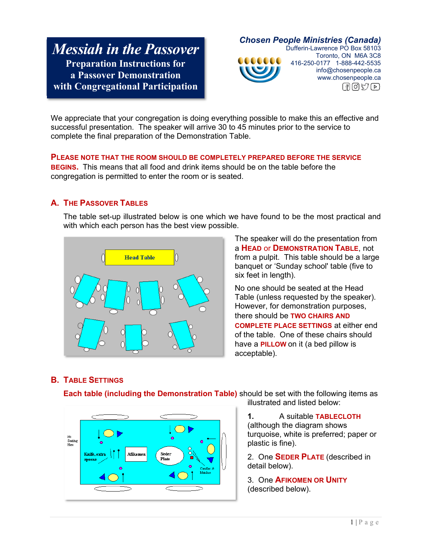# *Messiah in the Passover* **Preparation Instructions for a Passover Demonstration with Congregational Participation**

*Chosen People Ministries (Canada)*  Dufferin-Lawrence PO Box 58103 Toronto, ON M6A 3C8 000000 416-250-0177 1-888-442-5535 info@chosenpeople.ca www.chosenpeople.ca  $\lceil \frac{1}{2} \rceil \lceil \frac{1}{2} \rceil \lceil \frac{1}{2} \rceil$ 

We appreciate that your congregation is doing everything possible to make this an effective and successful presentation. The speaker will arrive 30 to 45 minutes prior to the service to complete the final preparation of the Demonstration Table.

**PLEASE NOTE THAT THE ROOM SHOULD BE COMPLETELY PREPARED BEFORE THE SERVICE BEGINS.** This means that all food and drink items should be on the table before the congregation is permitted to enter the room or is seated.

## **A. THE PASSOVER TABLES**

The table set-up illustrated below is one which we have found to be the most practical and with which each person has the best view possible.



The speaker will do the presentation from a **HEAD** or **DEMONSTRATION TABLE**, not from a pulpit. This table should be a large banquet or 'Sunday school' table (five to six feet in length).

No one should be seated at the Head Table (unless requested by the speaker). However, for demonstration purposes, there should be **TWO CHAIRS AND COMPLETE PLACE SETTINGS** at either end of the table. One of these chairs should have a **PILLOW** on it (a bed pillow is acceptable).

## **B. TABLE SETTINGS**



**Each table (including the Demonstration Table)** should be set with the following items as illustrated and listed below:

> **1.** A suitable **TABLECLOTH** (although the diagram shows turquoise, white is preferred; paper or

plastic is fine). 2. One **SEDER PLATE** (described in detail below).

3. One **AFIKOMEN OR UNITY** (described below).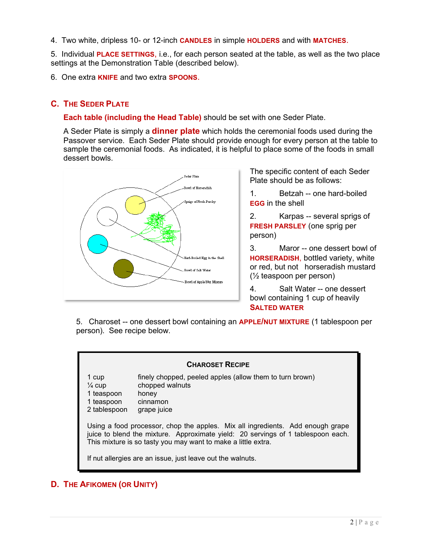4. Two white, dripless 10- or 12-inch **CANDLES** in simple **HOLDERS** and with **MATCHES**.

5. Individual **PLACE SETTINGS**, i.e., for each person seated at the table, as well as the two place settings at the Demonstration Table (described below).

6. One extra **KNIFE** and two extra **SPOONS**.

# **C. THE SEDER PLATE**

**Each table (including the Head Table)** should be set with one Seder Plate.

A Seder Plate is simply a **dinner plate** which holds the ceremonial foods used during the Passover service. Each Seder Plate should provide enough for every person at the table to sample the ceremonial foods. As indicated, it is helpful to place some of the foods in small dessert bowls.



The specific content of each Seder Plate should be as follows:

1. Betzah -- one hard-boiled **EGG** in the shell

2. Karpas -- several sprigs of **FRESH PARSLEY** (one sprig per person)

3. Maror -- one dessert bowl of **HORSERADISH**, bottled variety, white or red, but not horseradish mustard (½ teaspoon per person)

4. Salt Water -- one dessert bowl containing 1 cup of heavily **SALTED WATER**

5. Charoset -- one dessert bowl containing an **APPLE/NUT MIXTURE** (1 tablespoon per person). See recipe below.



## **D. THE AFIKOMEN (OR UNITY)**